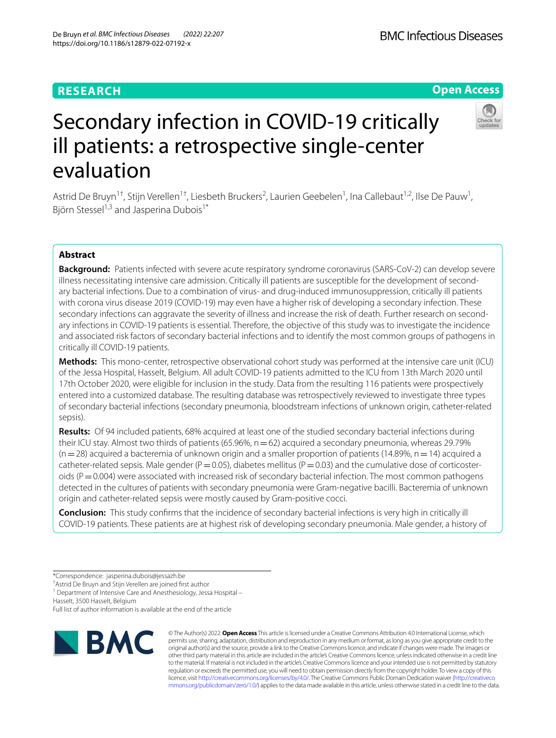# **RESEARCH**





# Secondary infection in COVID-19 critically ill patients: a retrospective single-center evaluation

Astrid De Bruyn<sup>1†</sup>, Stijn Verellen<sup>1†</sup>, Liesbeth Bruckers<sup>2</sup>, Laurien Geebelen<sup>1</sup>, Ina Callebaut<sup>1,2</sup>, Ilse De Pauw<sup>1</sup>, Björn Stessel<sup>1,3</sup> and Jasperina Dubois<sup>1\*</sup>

# **Abstract**

**Background:** Patients infected with severe acute respiratory syndrome coronavirus (SARS-CoV-2) can develop severe illness necessitating intensive care admission. Critically ill patients are susceptible for the development of secondary bacterial infections. Due to a combination of virus- and drug-induced immunosuppression, critically ill patients with corona virus disease 2019 (COVID-19) may even have a higher risk of developing a secondary infection. These secondary infections can aggravate the severity of illness and increase the risk of death. Further research on secondary infections in COVID-19 patients is essential. Therefore, the objective of this study was to investigate the incidence and associated risk factors of secondary bacterial infections and to identify the most common groups of pathogens in critically ill COVID-19 patients.

**Methods:** This mono-center, retrospective observational cohort study was performed at the intensive care unit (ICU) of the Jessa Hospital, Hasselt, Belgium. All adult COVID-19 patients admitted to the ICU from 13th March 2020 until 17th October 2020, were eligible for inclusion in the study. Data from the resulting 116 patients were prospectively entered into a customized database. The resulting database was retrospectively reviewed to investigate three types of secondary bacterial infections (secondary pneumonia, bloodstream infections of unknown origin, catheter-related sepsis).

**Results:** Of 94 included patients, 68% acquired at least one of the studied secondary bacterial infections during their ICU stay. Almost two thirds of patients (65.96%,  $n=62$ ) acquired a secondary pneumonia, whereas 29.79%  $(n=28)$  acquired a bacteremia of unknown origin and a smaller proportion of patients (14.89%, n=14) acquired a catheter-related sepsis. Male gender ( $P=0.05$ ), diabetes mellitus ( $P=0.03$ ) and the cumulative dose of corticosteroids ( $P = 0.004$ ) were associated with increased risk of secondary bacterial infection. The most common pathogens detected in the cultures of patients with secondary pneumonia were Gram-negative bacilli. Bacteremia of unknown origin and catheter-related sepsis were mostly caused by Gram-positive cocci.

**Conclusion:** This study confrms that the incidence of secondary bacterial infections is very high in critically ill COVID-19 patients. These patients are at highest risk of developing secondary pneumonia. Male gender, a history of

† Astrid De Bruyn and Stijn Verellen are joined frst author

<sup>1</sup> Department of Intensive Care and Anesthesiology, Jessa Hospital -

Hasselt, 3500 Hasselt, Belgium

Full list of author information is available at the end of the article



© The Author(s) 2022. **Open Access** This article is licensed under a Creative Commons Attribution 4.0 International License, which permits use, sharing, adaptation, distribution and reproduction in any medium or format, as long as you give appropriate credit to the original author(s) and the source, provide a link to the Creative Commons licence, and indicate if changes were made. The images or other third party material in this article are included in the article's Creative Commons licence, unless indicated otherwise in a credit line to the material. If material is not included in the article's Creative Commons licence and your intended use is not permitted by statutory regulation or exceeds the permitted use, you will need to obtain permission directly from the copyright holder. To view a copy of this licence, visit [http://creativecommons.org/licenses/by/4.0/.](http://creativecommons.org/licenses/by/4.0/) The Creative Commons Public Domain Dedication waiver ([http://creativeco](http://creativecommons.org/publicdomain/zero/1.0/) [mmons.org/publicdomain/zero/1.0/](http://creativecommons.org/publicdomain/zero/1.0/)) applies to the data made available in this article, unless otherwise stated in a credit line to the data.

<sup>\*</sup>Correspondence: jasperina.dubois@jessazh.be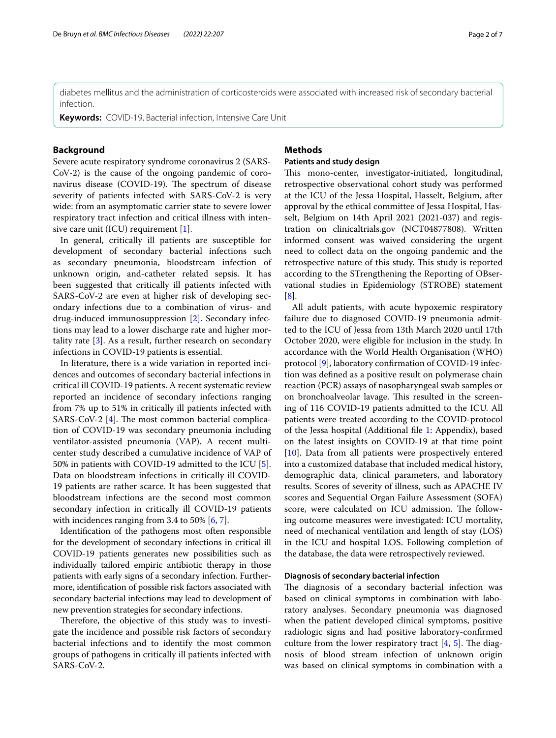diabetes mellitus and the administration of corticosteroids were associated with increased risk of secondary bacterial infection.

**Keywords:** COVID-19, Bacterial infection, Intensive Care Unit

# **Background**

Severe acute respiratory syndrome coronavirus 2 (SARS-CoV-2) is the cause of the ongoing pandemic of coronavirus disease (COVID-19). The spectrum of disease severity of patients infected with SARS-CoV-2 is very wide: from an asymptomatic carrier state to severe lower respiratory tract infection and critical illness with inten-sive care unit (ICU) requirement [[1\]](#page-6-0).

In general, critically ill patients are susceptible for development of secondary bacterial infections such as secondary pneumonia, bloodstream infection of unknown origin, and-catheter related sepsis. It has been suggested that critically ill patients infected with SARS-CoV-2 are even at higher risk of developing secondary infections due to a combination of virus- and drug-induced immunosuppression [[2](#page-6-1)]. Secondary infections may lead to a lower discharge rate and higher mortality rate [\[3](#page-6-2)]. As a result, further research on secondary infections in COVID-19 patients is essential.

In literature, there is a wide variation in reported incidences and outcomes of secondary bacterial infections in critical ill COVID-19 patients. A recent systematic review reported an incidence of secondary infections ranging from 7% up to 51% in critically ill patients infected with SARS-CoV-2  $[4]$  $[4]$ . The most common bacterial complication of COVID-19 was secondary pneumonia including ventilator-assisted pneumonia (VAP). A recent multicenter study described a cumulative incidence of VAP of 50% in patients with COVID-19 admitted to the ICU [\[5](#page-6-4)]. Data on bloodstream infections in critically ill COVID-19 patients are rather scarce. It has been suggested that bloodstream infections are the second most common secondary infection in critically ill COVID-19 patients with incidences ranging from 3.4 to 50%  $[6, 7]$  $[6, 7]$  $[6, 7]$  $[6, 7]$ .

Identifcation of the pathogens most often responsible for the development of secondary infections in critical ill COVID-19 patients generates new possibilities such as individually tailored empiric antibiotic therapy in those patients with early signs of a secondary infection. Furthermore, identifcation of possible risk factors associated with secondary bacterial infections may lead to development of new prevention strategies for secondary infections.

Therefore, the objective of this study was to investigate the incidence and possible risk factors of secondary bacterial infections and to identify the most common groups of pathogens in critically ill patients infected with SARS-CoV-2.

# **Methods**

# **Patients and study design**

This mono-center, investigator-initiated, longitudinal, retrospective observational cohort study was performed at the ICU of the Jessa Hospital, Hasselt, Belgium, after approval by the ethical committee of Jessa Hospital, Hasselt, Belgium on 14th April 2021 (2021-037) and registration on clinicaltrials.gov (NCT04877808). Written informed consent was waived considering the urgent need to collect data on the ongoing pandemic and the retrospective nature of this study. This study is reported according to the STrengthening the Reporting of OBservational studies in Epidemiology (STROBE) statement [[8\]](#page-6-7).

All adult patients, with acute hypoxemic respiratory failure due to diagnosed COVID-19 pneumonia admitted to the ICU of Jessa from 13th March 2020 until 17th October 2020, were eligible for inclusion in the study. In accordance with the World Health Organisation (WHO) protocol [[9\]](#page-6-8), laboratory confrmation of COVID-19 infection was defned as a positive result on polymerase chain reaction (PCR) assays of nasopharyngeal swab samples or on bronchoalveolar lavage. This resulted in the screening of 116 COVID-19 patients admitted to the ICU. All patients were treated according to the COVID-protocol of the Jessa hospital (Additional fle [1](#page-5-0): Appendix), based on the latest insights on COVID-19 at that time point [[10\]](#page-6-9). Data from all patients were prospectively entered into a customized database that included medical history, demographic data, clinical parameters, and laboratory results. Scores of severity of illness, such as APACHE IV scores and Sequential Organ Failure Assessment (SOFA) score, were calculated on ICU admission. The following outcome measures were investigated: ICU mortality, need of mechanical ventilation and length of stay (LOS) in the ICU and hospital LOS. Following completion of the database, the data were retrospectively reviewed.

# **Diagnosis of secondary bacterial infection**

The diagnosis of a secondary bacterial infection was based on clinical symptoms in combination with laboratory analyses. Secondary pneumonia was diagnosed when the patient developed clinical symptoms, positive radiologic signs and had positive laboratory-confrmed culture from the lower respiratory tract  $[4, 5]$  $[4, 5]$  $[4, 5]$  $[4, 5]$ . The diagnosis of blood stream infection of unknown origin was based on clinical symptoms in combination with a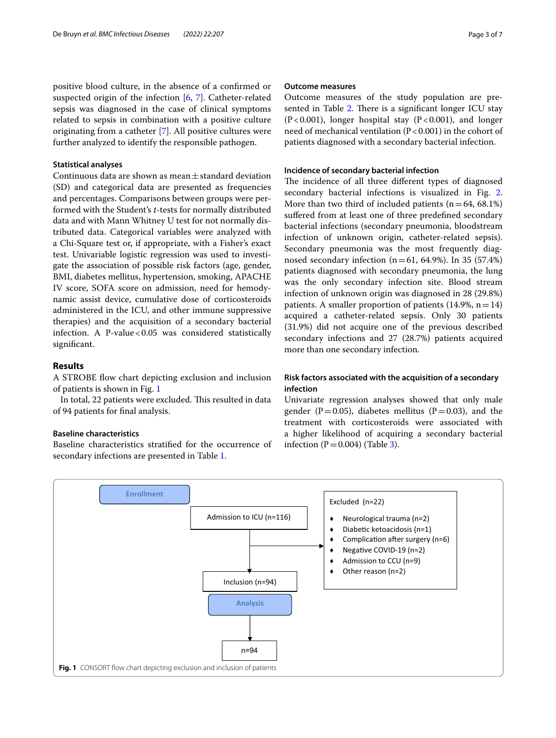### **Statistical analyses**

Continuous data are shown as mean $\pm$ standard deviation (SD) and categorical data are presented as frequencies and percentages. Comparisons between groups were performed with the Student's *t*-tests for normally distributed data and with Mann Whitney U test for not normally distributed data. Categorical variables were analyzed with a Chi-Square test or, if appropriate, with a Fisher's exact test. Univariable logistic regression was used to investigate the association of possible risk factors (age, gender, BMI, diabetes mellitus, hypertension, smoking, APACHE IV score, SOFA score on admission, need for hemodynamic assist device, cumulative dose of corticosteroids administered in the ICU, and other immune suppressive therapies) and the acquisition of a secondary bacterial infection. A P-value < $0.05$  was considered statistically significant.

# **Results**

A STROBE fow chart depicting exclusion and inclusion of patients is shown in Fig. [1](#page-2-0)

In total, 22 patients were excluded. This resulted in data of 94 patients for fnal analysis.

# **Baseline characteristics**

Baseline characteristics stratifed for the occurrence of secondary infections are presented in Table [1.](#page-3-0)

#### **Outcome measures**

Outcome measures of the study population are pre-sented in Table [2.](#page-3-1) There is a significant longer ICU stay  $(P<0.001)$ , longer hospital stay  $(P<0.001)$ , and longer need of mechanical ventilation (P < 0.001) in the cohort of patients diagnosed with a secondary bacterial infection.

#### **Incidence of secondary bacterial infection**

The incidence of all three different types of diagnosed secondary bacterial infections is visualized in Fig. [2](#page-4-0). More than two third of included patients  $(n=64, 68.1\%)$ suffered from at least one of three predefined secondary bacterial infections (secondary pneumonia, bloodstream infection of unknown origin, catheter-related sepsis). Secondary pneumonia was the most frequently diagnosed secondary infection ( $n=61$ , 64.9%). In 35 (57.4%) patients diagnosed with secondary pneumonia, the lung was the only secondary infection site. Blood stream infection of unknown origin was diagnosed in 28 (29.8%) patients. A smaller proportion of patients  $(14.9\%, n=14)$ acquired a catheter-related sepsis. Only 30 patients (31.9%) did not acquire one of the previous described secondary infections and 27 (28.7%) patients acquired more than one secondary infection.

# **Risk factors associated with the acquisition of a secondary infection**

Univariate regression analyses showed that only male gender (P=0.05), diabetes mellitus (P=0.03), and the treatment with corticosteroids were associated with a higher likelihood of acquiring a secondary bacterial infection  $(P=0.004)$  (Table [3\)](#page-4-1).

<span id="page-2-0"></span>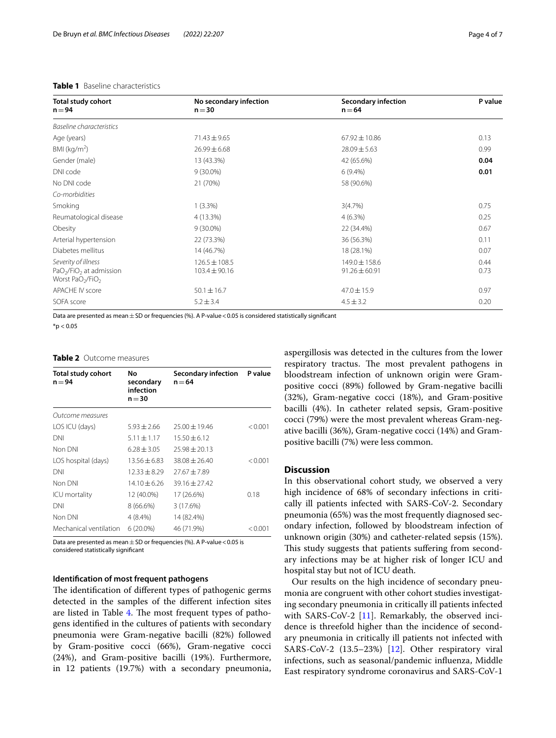| <b>Total study cohort</b><br>$n = 94$                                                       | No secondary infection<br>$n = 30$     | <b>Secondary infection</b><br>$n = 64$ | P value      |
|---------------------------------------------------------------------------------------------|----------------------------------------|----------------------------------------|--------------|
| Baseline characteristics                                                                    |                                        |                                        |              |
| Age (years)                                                                                 | $71.43 \pm 9.65$                       | $67.92 \pm 10.86$                      | 0.13         |
| BMI ( $kg/m2$ )                                                                             | $26.99 \pm 6.68$                       | $28.09 \pm 5.63$                       | 0.99         |
| Gender (male)                                                                               | 13 (43.3%)                             | 42 (65.6%)                             | 0.04         |
| DNI code                                                                                    | $9(30.0\%)$                            | $6(9.4\%)$                             | 0.01         |
| No DNI code                                                                                 | 21 (70%)                               | 58 (90.6%)                             |              |
| Co-morbidities                                                                              |                                        |                                        |              |
| Smoking                                                                                     | $1(3.3\%)$                             | 3(4.7%)                                | 0.75         |
| Reumatological disease                                                                      | 4 (13.3%)                              | 4(6.3%)                                | 0.25         |
| Obesity                                                                                     | $9(30.0\%)$                            | 22 (34.4%)                             | 0.67         |
| Arterial hypertension                                                                       | 22 (73.3%)                             | 36 (56.3%)                             | 0.11         |
| Diabetes mellitus                                                                           | 14 (46.7%)                             | 18 (28.1%)                             | 0.07         |
| Severity of illness<br>$PaO2/FiO2$ at admission<br>Worst PaO <sub>2</sub> /FiO <sub>2</sub> | $126.5 \pm 108.5$<br>$103.4 \pm 90.16$ | 149.0 ± 158.6<br>$91.26 \pm 60.91$     | 0.44<br>0.73 |
| <b>APACHE IV score</b>                                                                      | $50.1 \pm 16.7$                        | $47.0 \pm 15.9$                        | 0.97         |
| SOFA score                                                                                  | $5.2 \pm 3.4$                          | $4.5 \pm 3.2$                          | 0.20         |

#### <span id="page-3-0"></span>**Table 1** Baseline characteristics

Data are presented as mean  $\pm$  SD or frequencies (%). A P-value < 0.05 is considered statistically significant

 $*$ p < 0.05

#### <span id="page-3-1"></span>**Table 2** Outcome measures

| <b>Total study cohort</b><br>$n = 94$ | No<br>secondary<br>infection<br>$n = 30$ | <b>Secondary infection</b><br>$n = 64$ | P value |  |
|---------------------------------------|------------------------------------------|----------------------------------------|---------|--|
| Outcome measures                      |                                          |                                        |         |  |
| LOS ICU (days)                        | $5.93 \pm 2.66$                          | $25.00 \pm 19.46$                      | < 0.001 |  |
| <b>DNI</b>                            | $5.11 \pm 1.17$                          | $15.50 + 6.12$                         |         |  |
| Non DNI                               | $6.28 + 3.05$                            | $75.98 + 20.13$                        |         |  |
| LOS hospital (days)                   | $13.56 + 6.83$                           | $38.08 + 26.40$                        | < 0.001 |  |
| <b>DNI</b>                            | $12.33 + 8.29$                           | $77.67 + 7.89$                         |         |  |
| Non DNI                               | $14.10 + 6.26$                           | $39.16 + 27.42$                        |         |  |
| ICU mortality                         | 12 (40.0%)                               | 17 (26.6%)                             | 0.18    |  |
| <b>DNI</b>                            | 8 (66.6%)                                | 3 (17.6%)                              |         |  |
| Non DNI                               | 4 (8.4%)                                 | 14 (82.4%)                             |         |  |
| Mechanical ventilation                | $6(20.0\%)$                              | 46 (71.9%)                             | < 0.001 |  |

Data are presented as mean  $+$  SD or frequencies (%). A P-value  $<$  0.05 is considered statistically signifcant

# **Identifcation of most frequent pathogens**

The identification of different types of pathogenic germs detected in the samples of the diferent infection sites are listed in Table [4](#page-4-2). The most frequent types of pathogens identifed in the cultures of patients with secondary pneumonia were Gram-negative bacilli (82%) followed by Gram-positive cocci (66%), Gram-negative cocci (24%), and Gram-positive bacilli (19%). Furthermore, in 12 patients (19.7%) with a secondary pneumonia, aspergillosis was detected in the cultures from the lower respiratory tractus. The most prevalent pathogens in bloodstream infection of unknown origin were Grampositive cocci (89%) followed by Gram-negative bacilli (32%), Gram-negative cocci (18%), and Gram-positive bacilli (4%). In catheter related sepsis, Gram-positive cocci (79%) were the most prevalent whereas Gram-negative bacilli (36%), Gram-negative cocci (14%) and Grampositive bacilli (7%) were less common.

# **Discussion**

In this observational cohort study, we observed a very high incidence of 68% of secondary infections in critically ill patients infected with SARS-CoV-2. Secondary pneumonia (65%) was the most frequently diagnosed secondary infection, followed by bloodstream infection of unknown origin (30%) and catheter-related sepsis (15%). This study suggests that patients suffering from secondary infections may be at higher risk of longer ICU and hospital stay but not of ICU death.

Our results on the high incidence of secondary pneumonia are congruent with other cohort studies investigating secondary pneumonia in critically ill patients infected with SARS-CoV-2 [[11\]](#page-6-10). Remarkably, the observed incidence is threefold higher than the incidence of secondary pneumonia in critically ill patients not infected with SARS-CoV-2 (13.5–23%) [[12](#page-6-11)]. Other respiratory viral infections, such as seasonal/pandemic infuenza, Middle East respiratory syndrome coronavirus and SARS-CoV-1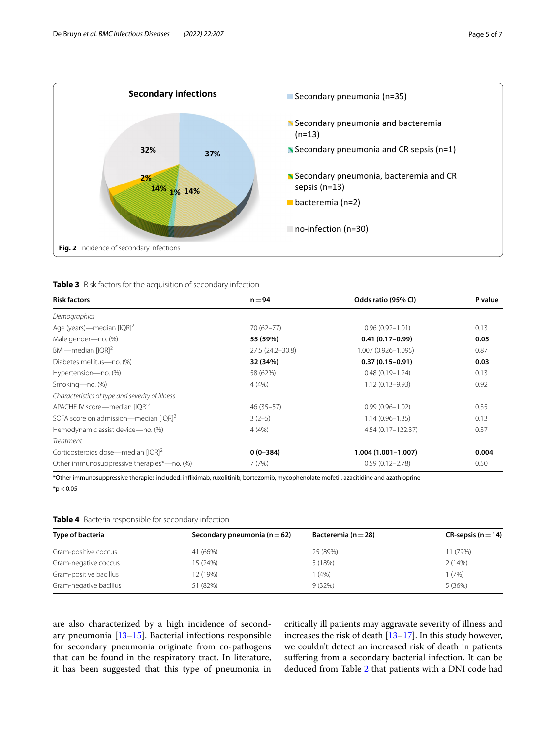



<span id="page-4-1"></span><span id="page-4-0"></span>

| Table 3 Risk factors for the acquisition of secondary infection |  |  |
|-----------------------------------------------------------------|--|--|
|                                                                 |  |  |

| <b>Risk factors</b>                             | $n = 94$         | Odds ratio (95% CI)    | P value |
|-------------------------------------------------|------------------|------------------------|---------|
| Demographics                                    |                  |                        |         |
| Age (years)—median $[1QR]^2$                    | $70(62 - 77)$    | $0.96(0.92 - 1.01)$    | 0.13    |
| Male gender-no. (%)                             | 55 (59%)         | $0.41(0.17-0.99)$      | 0.05    |
| $BM$ —median [IQR] <sup>2</sup>                 | 27.5 (24.2-30.8) | 1.007 (0.926-1.095)    | 0.87    |
| Diabetes mellitus-no. (%)                       | 32 (34%)         | $0.37(0.15-0.91)$      | 0.03    |
| Hypertension-no. (%)                            | 58 (62%)         | $0.48(0.19 - 1.24)$    | 0.13    |
| Smoking-no. (%)                                 | 4(4%)            | $1.12(0.13 - 9.93)$    | 0.92    |
| Characteristics of type and severity of illness |                  |                        |         |
| APACHE IV score-median [IQR] <sup>2</sup>       | $46(35-57)$      | $0.99(0.96 - 1.02)$    | 0.35    |
| SOFA score on admission-median $[IQR]^{2}$      | $3(2-5)$         | $1.14(0.96 - 1.35)$    | 0.13    |
| Hemodynamic assist device-no. (%)               | 4(4%)            | 4.54 (0.17 - 122.37)   | 0.37    |
| Treatment                                       |                  |                        |         |
| Corticosteroids dose—median [IQR] <sup>2</sup>  | $0(0-384)$       | $1.004(1.001 - 1.007)$ | 0.004   |
| Other immunosuppressive therapies*-no. (%)      | 7(7%)            | $0.59(0.12 - 2.78)$    | 0.50    |

\*Other immunosuppressive therapies included: infiximab, ruxolitinib, bortezomib, mycophenolate mofetil, azacitidine and azathioprine  $*$ p < 0.05

<span id="page-4-2"></span>

| Type of bacteria       | Secondary pneumonia ( $n = 62$ ) | Bacteremia ( $n = 28$ ) | CR-sepsis ( $n = 14$ ) |
|------------------------|----------------------------------|-------------------------|------------------------|
| Gram-positive coccus   | 41 (66%)                         | 25 (89%)                | 11 (79%)               |
| Gram-negative coccus   | 15 (24%)                         | 5 (18%)                 | 2(14%)                 |
| Gram-positive bacillus | 12 (19%)                         | 1 (4%)                  | 1 (7%)                 |
| Gram-negative bacillus | 51 (82%)                         | 9(32%)                  | 5(36%)                 |

are also characterized by a high incidence of secondary pneumonia [\[13](#page-6-12)–[15\]](#page-6-13). Bacterial infections responsible for secondary pneumonia originate from co-pathogens that can be found in the respiratory tract. In literature, it has been suggested that this type of pneumonia in critically ill patients may aggravate severity of illness and increases the risk of death [\[13–](#page-6-12)[17\]](#page-6-14). In this study however, we couldn't detect an increased risk of death in patients sufering from a secondary bacterial infection. It can be deduced from Table [2](#page-3-1) that patients with a DNI code had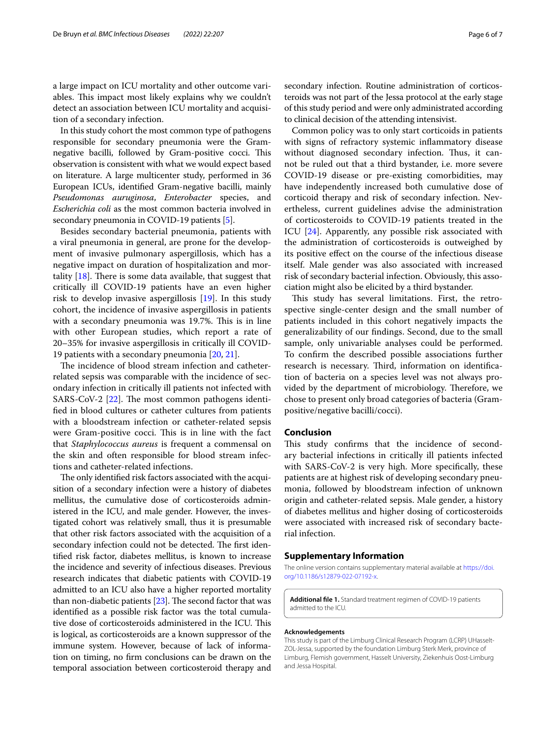a large impact on ICU mortality and other outcome variables. This impact most likely explains why we couldn't detect an association between ICU mortality and acquisition of a secondary infection.

In this study cohort the most common type of pathogens responsible for secondary pneumonia were the Gramnegative bacilli, followed by Gram-positive cocci. This observation is consistent with what we would expect based on literature. A large multicenter study, performed in 36 European ICUs, identifed Gram-negative bacilli, mainly *Pseudomonas auruginosa*, *Enterobacter* species, and *Escherichia coli* as the most common bacteria involved in secondary pneumonia in COVID-19 patients [[5](#page-6-4)].

Besides secondary bacterial pneumonia, patients with a viral pneumonia in general, are prone for the development of invasive pulmonary aspergillosis, which has a negative impact on duration of hospitalization and mortality  $[18]$  $[18]$ . There is some data available, that suggest that critically ill COVID-19 patients have an even higher risk to develop invasive aspergillosis [[19](#page-6-16)]. In this study cohort, the incidence of invasive aspergillosis in patients with a secondary pneumonia was 19.7%. This is in line with other European studies, which report a rate of 20–35% for invasive aspergillosis in critically ill COVID-19 patients with a secondary pneumonia [\[20,](#page-6-17) [21](#page-6-18)].

The incidence of blood stream infection and catheterrelated sepsis was comparable with the incidence of secondary infection in critically ill patients not infected with SARS-CoV-2  $[22]$  $[22]$  $[22]$ . The most common pathogens identifed in blood cultures or catheter cultures from patients with a bloodstream infection or catheter-related sepsis were Gram-positive cocci. This is in line with the fact that *Staphylococcus aureus* is frequent a commensal on the skin and often responsible for blood stream infections and catheter-related infections.

The only identified risk factors associated with the acquisition of a secondary infection were a history of diabetes mellitus, the cumulative dose of corticosteroids administered in the ICU, and male gender. However, the investigated cohort was relatively small, thus it is presumable that other risk factors associated with the acquisition of a secondary infection could not be detected. The first identifed risk factor, diabetes mellitus, is known to increase the incidence and severity of infectious diseases. Previous research indicates that diabetic patients with COVID-19 admitted to an ICU also have a higher reported mortality than non-diabetic patients  $[23]$ . The second factor that was identifed as a possible risk factor was the total cumulative dose of corticosteroids administered in the ICU. This is logical, as corticosteroids are a known suppressor of the immune system. However, because of lack of information on timing, no frm conclusions can be drawn on the temporal association between corticosteroid therapy and secondary infection. Routine administration of corticosteroids was not part of the Jessa protocol at the early stage of this study period and were only administrated according to clinical decision of the attending intensivist.

Common policy was to only start corticoids in patients with signs of refractory systemic infammatory disease without diagnosed secondary infection. Thus, it cannot be ruled out that a third bystander, i.e. more severe COVID-19 disease or pre-existing comorbidities, may have independently increased both cumulative dose of corticoid therapy and risk of secondary infection. Nevertheless, current guidelines advise the administration of corticosteroids to COVID-19 patients treated in the ICU [\[24](#page-6-21)]. Apparently, any possible risk associated with the administration of corticosteroids is outweighed by its positive efect on the course of the infectious disease itself. Male gender was also associated with increased risk of secondary bacterial infection. Obviously, this association might also be elicited by a third bystander.

This study has several limitations. First, the retrospective single-center design and the small number of patients included in this cohort negatively impacts the generalizability of our fndings. Second, due to the small sample, only univariable analyses could be performed. To confrm the described possible associations further research is necessary. Third, information on identification of bacteria on a species level was not always provided by the department of microbiology. Therefore, we chose to present only broad categories of bacteria (Grampositive/negative bacilli/cocci).

# **Conclusion**

This study confirms that the incidence of secondary bacterial infections in critically ill patients infected with SARS-CoV-2 is very high. More specifcally, these patients are at highest risk of developing secondary pneumonia, followed by bloodstream infection of unknown origin and catheter-related sepsis. Male gender, a history of diabetes mellitus and higher dosing of corticosteroids were associated with increased risk of secondary bacterial infection.

#### **Supplementary Information**

The online version contains supplementary material available at [https://doi.](https://doi.org/10.1186/s12879-022-07192-x) [org/10.1186/s12879-022-07192-x.](https://doi.org/10.1186/s12879-022-07192-x)

<span id="page-5-0"></span>**Additional fle 1.** Standard treatment regimen of COVID-19 patients admitted to the ICU.

#### **Acknowledgements**

This study is part of the Limburg Clinical Research Program (LCRP) UHasselt-ZOL-Jessa, supported by the foundation Limburg Sterk Merk, province of Limburg, Flemish government, Hasselt University, Ziekenhuis Oost-Limburg and Jessa Hospital.